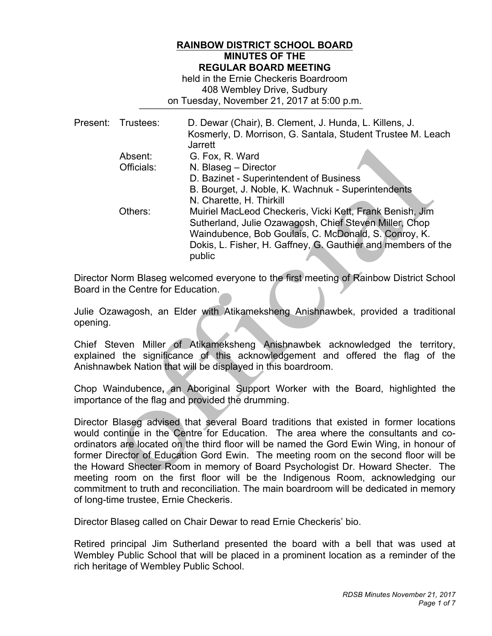### **RAINBOW DISTRICT SCHOOL BOARD MINUTES OF THE REGULAR BOARD MEETING**

 408 Wembley Drive, Sudbury on Tuesday, November 21, 2017 at 5:00 p.m. held in the Ernie Checkeris Boardroom

|  | Present: Trustees: | D. Dewar (Chair), B. Clement, J. Hunda, L. Killens, J.<br>Kosmerly, D. Morrison, G. Santala, Student Trustee M. Leach<br><b>Jarrett</b>                                        |
|--|--------------------|--------------------------------------------------------------------------------------------------------------------------------------------------------------------------------|
|  | Absent:            | G. Fox, R. Ward                                                                                                                                                                |
|  | Officials:         | N. Blaseg - Director                                                                                                                                                           |
|  |                    | D. Bazinet - Superintendent of Business                                                                                                                                        |
|  |                    | B. Bourget, J. Noble, K. Wachnuk - Superintendents                                                                                                                             |
|  |                    | N. Charette, H. Thirkill                                                                                                                                                       |
|  | Others:            | Muiriel MacLeod Checkeris, Vicki Kett, Frank Benish, Jim                                                                                                                       |
|  |                    |                                                                                                                                                                                |
|  |                    |                                                                                                                                                                                |
|  |                    |                                                                                                                                                                                |
|  |                    | public                                                                                                                                                                         |
|  |                    | Sutherland, Julie Ozawagosh, Chief Steven Miller, Chop<br>Waindubence, Bob Goulais, C. McDonald, S. Conroy, K.<br>Dokis, L. Fisher, H. Gaffney, G. Gauthier and members of the |

 Director Norm Blaseg welcomed everyone to the first meeting of Rainbow District School Board in the Centre for Education.

 Julie Ozawagosh, an Elder with Atikameksheng Anishnawbek, provided a traditional opening.

 Chief Steven Miller of Atikameksheng Anishnawbek acknowledged the territory, explained the significance of this acknowledgement and offered the flag of the Anishnawbek Nation that will be displayed in this boardroom.

 Chop Waindubence**,** an Aboriginal Support Worker with the Board, highlighted the importance of the flag and provided the drumming.

 Director Blaseg advised that several Board traditions that existed in former locations would continue in the Centre for Education. The area where the consultants and co- ordinators are located on the third floor will be named the Gord Ewin Wing, in honour of former Director of Education Gord Ewin. The meeting room on the second floor will be the Howard Shecter Room in memory of Board Psychologist Dr. Howard Shecter. The meeting room on the first floor will be the Indigenous Room, acknowledging our commitment to truth and reconciliation. The main boardroom will be dedicated in memory of long-time trustee, Ernie Checkeris.

Director Blaseg called on Chair Dewar to read Ernie Checkeris' bio.

 Retired principal Jim Sutherland presented the board with a bell that was used at Wembley Public School that will be placed in a prominent location as a reminder of the rich heritage of Wembley Public School.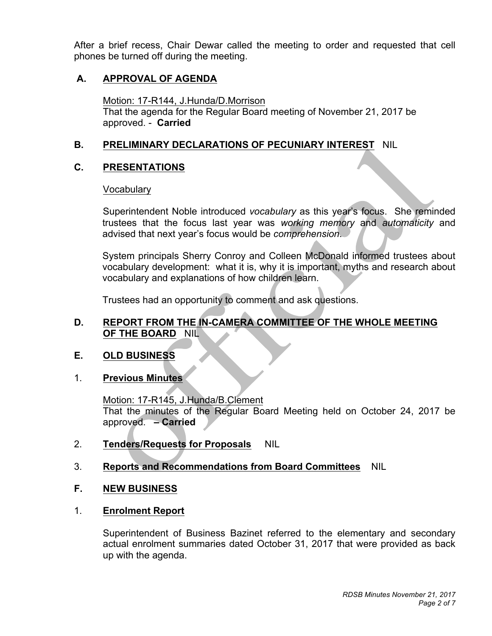After a brief recess, Chair Dewar called the meeting to order and requested that cell phones be turned off during the meeting.

## **A. APPROVAL OF AGENDA**

 Motion: 17-R144, J.Hunda/D.Morrison approved. - **Carried**  That the agenda for the Regular Board meeting of November 21, 2017 be

### **B. PRELIMINARY DECLARATIONS OF PECUNIARY INTEREST** NIL

## **C. PRESENTATIONS**

### **Vocabulary**

 trustees that the focus last year was *working memory* and *automaticity* and advised that next year's focus would be *comprehension*. Superintendent Noble introduced *vocabulary* as this year's focus. She reminded

 System principals Sherry Conroy and Colleen McDonald informed trustees about vocabulary development: what it is, why it is important, myths and research about vocabulary and explanations of how children learn.

Trustees had an opportunity to comment and ask questions.

### **D. REPORT FROM THE IN-CAMERA COMMITTEE OF THE WHOLE MEETING OF THE BOARD** NIL

#### **OLD BUSINESS**

### 1. **Previous Minutes**

 That the minutes of the Regular Board Meeting held on October 24, 2017 be approved. **– Carried**  Motion: 17-R145, J.Hunda/B.Clement

## 2. Tenders/Requests for Proposals NIL

## 3. **Reports and Recommendations from Board Committees** NIL

#### $F_{\rm{r}}$ **NEW BUSINESS**

## 1. **Enrolment Report**

 Superintendent of Business Bazinet referred to the elementary and secondary actual enrolment summaries dated October 31, 2017 that were provided as back up with the agenda.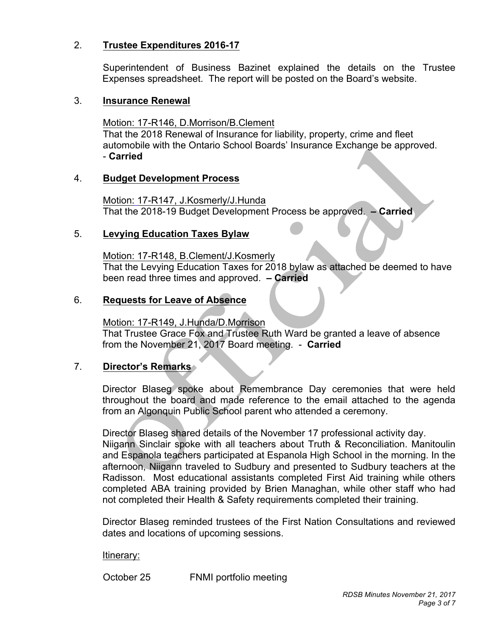## 2. **Trustee Expenditures 2016-17**

 Superintendent of Business Bazinet explained the details on the Trustee Expenses spreadsheet. The report will be posted on the Board's website.

#### 3. **Insurance Renewal**

Motion: 17-R146, D.Morrison/B.Clement automobile with the Ontario School Boards' Insurance Exchange be approved. That the 2018 Renewal of Insurance for liability, property, crime and fleet - **Carried** 

#### 4. **Budget Development Process**

 That the 2018-19 Budget Development Process be approved. **– Carried**  Motion: 17-R147, J.Kosmerly/J.Hunda

#### 5. **Levying Education Taxes Bylaw**

 been read three times and approved. **– Carried**  Motion: 17-R148, B.Clement/J.Kosmerly That the Levying Education Taxes for 2018 bylaw as attached be deemed to have

### 6. **Requests for Leave of Absence**

 That Trustee Grace Fox and Trustee Ruth Ward be granted a leave of absence from the November 21, 2017 Board meeting. - **Carried**  Motion: 17-R149, J.Hunda/D.Morrison

### 7. **Director's Remarks**

 Director Blaseg spoke about Remembrance Day ceremonies that were held throughout the board and made reference to the email attached to the agenda from an Algonquin Public School parent who attended a ceremony.

 Director Blaseg shared details of the November 17 professional activity day. Niigann Sinclair spoke with all teachers about Truth & Reconciliation. Manitoulin and Espanola teachers participated at Espanola High School in the morning. In the afternoon, Niigann traveled to Sudbury and presented to Sudbury teachers at the Radisson. Most educational assistants completed First Aid training while others completed ABA training provided by Brien Managhan, while other staff who had not completed their Health & Safety requirements completed their training.

 Director Blaseg reminded trustees of the First Nation Consultations and reviewed dates and locations of upcoming sessions.

#### Itinerary:

October 25

FNMI portfolio meeting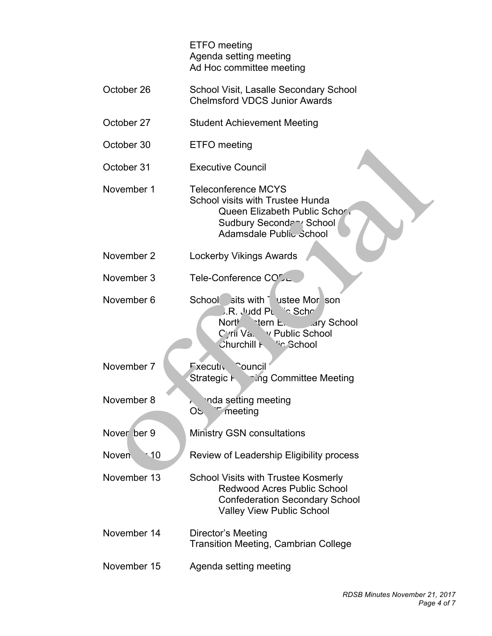ETFO meeting Agenda setting meeting Ad Hoc committee meeting

- October 26 School Visit, Lasalle Secondary School Chelmsford VDCS Junior Awards
- October 27 Student Achievement Meeting
- October 30 **ETFO** meeting
- October 31 **Executive Council**
- November 1 Sudbury Secondary School Teleconference MCYS School visits with Trustee Hunda Queen Elizabeth Public School Adamsdale Public School
- November 2 Lockerby Vikings Awards
- November 3 Tele-Conference CO<sub>L</sub>
- November 6 School sits with Trustee Morrison **J.R. Judd Public School** Northeastern Elementary School Cyril Va. v Public School Churchill **Fully** <sup>Vic</sup> School
- November 7 **Executive Council** Strategic Planning Committee Meeting
- November 8 nda setting meeting OS<sup>T</sup> meeting
- Nover ber 9 **Ministry GSN consultations**
- Noven 10 Review of Leadership Eligibility process
- November 13 Confederation Secondary School Valley View Public School School Visits with Trustee Kosmerly Redwood Acres Public School
- November 14 Director's Meeting Transition Meeting, Cambrian College
- November 15 Agenda setting meeting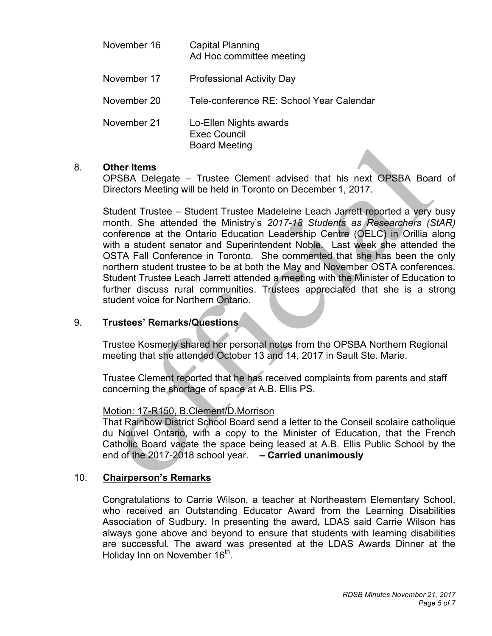| November 16 | <b>Capital Planning</b><br>Ad Hoc committee meeting                   |
|-------------|-----------------------------------------------------------------------|
| November 17 | <b>Professional Activity Day</b>                                      |
| November 20 | Tele-conference RE: School Year Calendar                              |
| November 21 | Lo-Ellen Nights awards<br><b>Exec Council</b><br><b>Board Meeting</b> |

#### 8. **Other Items**

 OPSBA Delegate – Trustee Clement advised that his next OPSBA Board of Directors Meeting will be held in Toronto on December 1, 2017.

 Student Trustee – Student Trustee Madeleine Leach Jarrett reported a very busy month. She attended the Ministry's *2017-18 Students as Researchers (StAR)*  conference at the Ontario Education Leadership Centre (OELC) in Orillia along with a student senator and Superintendent Noble. Last week she attended the OSTA Fall Conference in Toronto. She commented that she has been the only northern student trustee to be at both the May and November OSTA conferences. Student Trustee Leach Jarrett attended a meeting with the Minister of Education to further discuss rural communities. Trustees appreciated that she is a strong student voice for Northern Ontario.

### 9. **Trustees' Remarks/Questions**

 Trustee Kosmerly shared her personal notes from the OPSBA Northern Regional meeting that she attended October 13 and 14, 2017 in Sault Ste. Marie.

 Trustee Clement reported that he has received complaints from parents and staff concerning the shortage of space at A.B. Ellis PS.

### Motion: 17-R150, B.Clement/D.Morrison

 That Rainbow District School Board send a letter to the Conseil scolaire catholique du Nouvel Ontario, with a copy to the Minister of Education, that the French Catholic Board vacate the space being leased at A.B. Ellis Public School by the end of the 2017-2018 school year. **– Carried unanimously** 

### 10. **Chairperson's Remarks**

 Congratulations to Carrie Wilson, a teacher at Northeastern Elementary School, who received an Outstanding Educator Award from the Learning Disabilities Association of Sudbury. In presenting the award, LDAS said Carrie Wilson has always gone above and beyond to ensure that students with learning disabilities are successful. The award was presented at the LDAS Awards Dinner at the Holiday Inn on November 16<sup>th</sup>.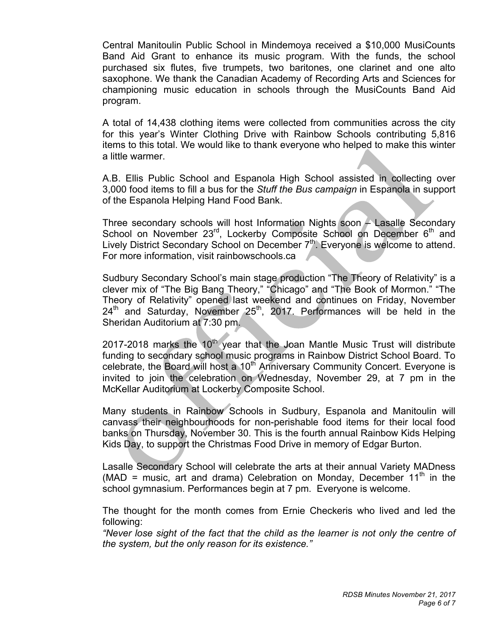Central Manitoulin Public School in Mindemoya received a \$10,000 MusiCounts Band Aid Grant to enhance its music program. With the funds, the school purchased six flutes, five trumpets, two baritones, one clarinet and one alto saxophone. We thank the Canadian Academy of Recording Arts and Sciences for championing music education in schools through the MusiCounts Band Aid program.

 A total of 14,438 clothing items were collected from communities across the city for this year's Winter Clothing Drive with Rainbow Schools contributing 5,816 items to this total. We would like to thank everyone who helped to make this winter a little warmer.

 A.B. Ellis Public School and Espanola High School assisted in collecting over 3,000 food items to fill a bus for the *Stuff the Bus campaign* in Espanola in support of the Espanola Helping Hand Food Bank.

 Three secondary schools will host Information Nights soon – Lasalle Secondary School on November  $23^{rd}$ , Lockerby Composite School on December  $6^{th}$  and Lively District Secondary School on December  $7<sup>th</sup>$ . Everyone is welcome to attend. For more information, visit rainbowschools.ca

 Sudbury Secondary School's main stage production "The Theory of Relativity" is a clever mix of "The Big Bang Theory," "Chicago" and "The Book of Mormon." "The Theory of Relativity" opened last weekend and continues on Friday, November  $24<sup>th</sup>$  and Saturday, November  $25<sup>th</sup>$ , 2017. Performances will be held in the Sheridan Auditorium at 7:30 pm.

2017-2018 marks the 10<sup>th</sup> year that the Joan Mantle Music Trust will distribute funding to secondary school music programs in Rainbow District School Board. To celebrate, the Board will host a 10<sup>th</sup> Anniversary Community Concert. Everyone is invited to join the celebration on Wednesday, November 29, at 7 pm in the McKellar Auditorium at Lockerby Composite School.

 Many students in Rainbow Schools in Sudbury, Espanola and Manitoulin will canvass their neighbourhoods for non-perishable food items for their local food banks on Thursday, November 30. This is the fourth annual Rainbow Kids Helping Kids Day, to support the Christmas Food Drive in memory of Edgar Burton.

 Lasalle Secondary School will celebrate the arts at their annual Variety MADness (MAD = music, art and drama) Celebration on Monday, December  $11<sup>th</sup>$  in the school gymnasium. Performances begin at 7 pm. Everyone is welcome.

 The thought for the month comes from Ernie Checkeris who lived and led the following:

 *"Never lose sight of the fact that the child as the learner is not only the centre of the system, but the only reason for its existence."*